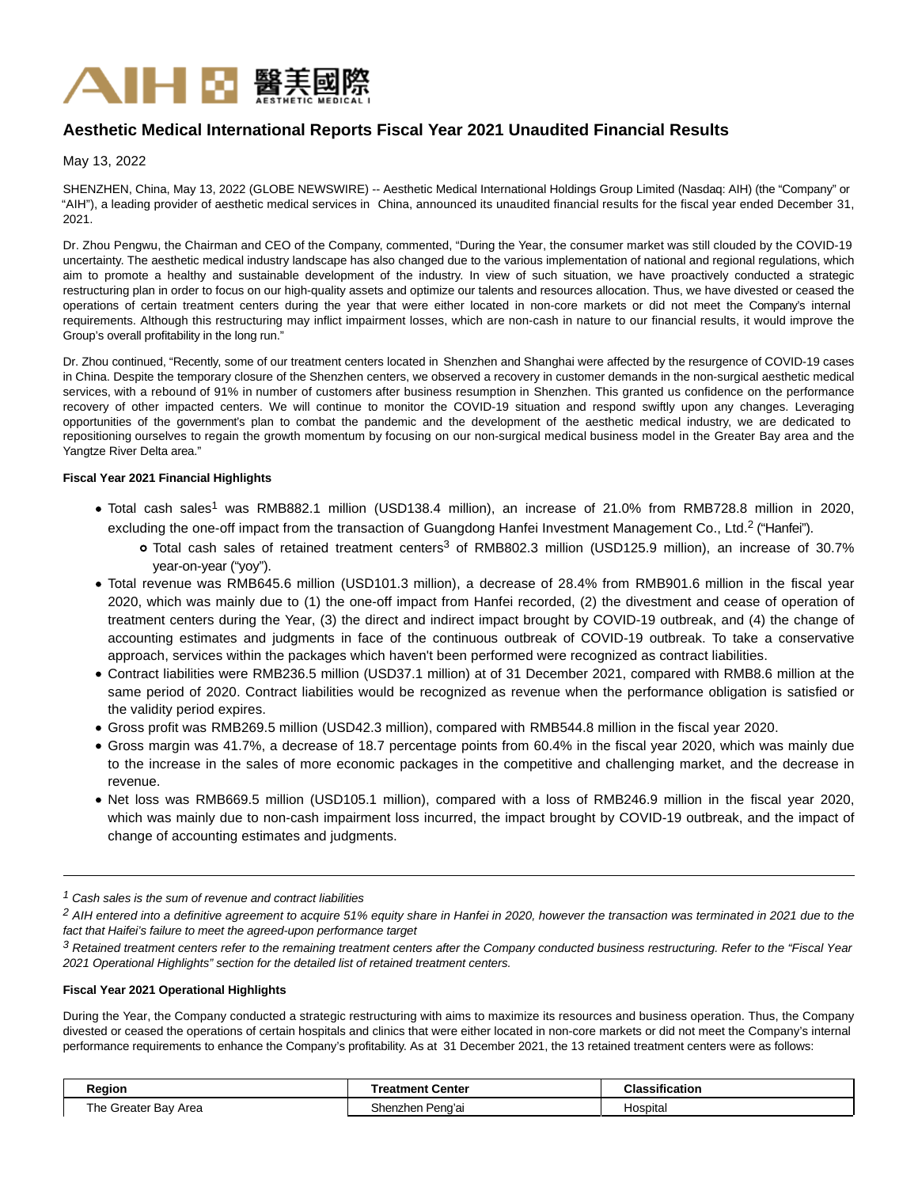

# **Aesthetic Medical International Reports Fiscal Year 2021 Unaudited Financial Results**

May 13, 2022

SHENZHEN, China, May 13, 2022 (GLOBE NEWSWIRE) -- Aesthetic Medical International Holdings Group Limited (Nasdaq: AIH) (the "Company" or "AIH"), a leading provider of aesthetic medical services in China, announced its unaudited financial results for the fiscal year ended December 31, 2021.

Dr. Zhou Pengwu, the Chairman and CEO of the Company, commented, "During the Year, the consumer market was still clouded by the COVID-19 uncertainty. The aesthetic medical industry landscape has also changed due to the various implementation of national and regional regulations, which aim to promote a healthy and sustainable development of the industry. In view of such situation, we have proactively conducted a strategic restructuring plan in order to focus on our high-quality assets and optimize our talents and resources allocation. Thus, we have divested or ceased the operations of certain treatment centers during the year that were either located in non-core markets or did not meet the Company's internal requirements. Although this restructuring may inflict impairment losses, which are non-cash in nature to our financial results, it would improve the Group's overall profitability in the long run."

Dr. Zhou continued, "Recently, some of our treatment centers located in Shenzhen and Shanghai were affected by the resurgence of COVID-19 cases in China. Despite the temporary closure of the Shenzhen centers, we observed a recovery in customer demands in the non-surgical aesthetic medical services, with a rebound of 91% in number of customers after business resumption in Shenzhen. This granted us confidence on the performance recovery of other impacted centers. We will continue to monitor the COVID-19 situation and respond swiftly upon any changes. Leveraging opportunities of the government's plan to combat the pandemic and the development of the aesthetic medical industry, we are dedicated to repositioning ourselves to regain the growth momentum by focusing on our non-surgical medical business model in the Greater Bay area and the Yangtze River Delta area."

### **Fiscal Year 2021 Financial Highlights**

- Total cash sales<sup>1</sup> was RMB882.1 million (USD138.4 million), an increase of 21.0% from RMB728.8 million in 2020, excluding the one-off impact from the transaction of Guangdong Hanfei Investment Management Co., Ltd.<sup>2</sup> ("Hanfei").
	- Total cash sales of retained treatment centers<sup>3</sup> of RMB802.3 million (USD125.9 million), an increase of 30.7% year-on-year ("yoy").
- Total revenue was RMB645.6 million (USD101.3 million), a decrease of 28.4% from RMB901.6 million in the fiscal year 2020, which was mainly due to (1) the one-off impact from Hanfei recorded, (2) the divestment and cease of operation of treatment centers during the Year, (3) the direct and indirect impact brought by COVID-19 outbreak, and (4) the change of accounting estimates and judgments in face of the continuous outbreak of COVID-19 outbreak. To take a conservative approach, services within the packages which haven't been performed were recognized as contract liabilities.
- Contract liabilities were RMB236.5 million (USD37.1 million) at of 31 December 2021, compared with RMB8.6 million at the same period of 2020. Contract liabilities would be recognized as revenue when the performance obligation is satisfied or the validity period expires.
- Gross profit was RMB269.5 million (USD42.3 million), compared with RMB544.8 million in the fiscal year 2020.
- Gross margin was 41.7%, a decrease of 18.7 percentage points from 60.4% in the fiscal year 2020, which was mainly due to the increase in the sales of more economic packages in the competitive and challenging market, and the decrease in revenue.
- Net loss was RMB669.5 million (USD105.1 million), compared with a loss of RMB246.9 million in the fiscal year 2020, which was mainly due to non-cash impairment loss incurred, the impact brought by COVID-19 outbreak, and the impact of change of accounting estimates and judgments.

 $1$  Cash sales is the sum of revenue and contract liabilities

## **Fiscal Year 2021 Operational Highlights**

During the Year, the Company conducted a strategic restructuring with aims to maximize its resources and business operation. Thus, the Company divested or ceased the operations of certain hospitals and clinics that were either located in non-core markets or did not meet the Company's internal performance requirements to enhance the Company's profitability. As at 31 December 2021, the 13 retained treatment centers were as follows:

| Region               | <b>Freatment Center</b> | <b>Classification</b> |
|----------------------|-------------------------|-----------------------|
| The Greater Bay Area | Shenzhen Peng'ai<br>. . | Hospital              |

<sup>&</sup>lt;sup>2</sup> AIH entered into a definitive agreement to acquire 51% equity share in Hanfei in 2020, however the transaction was terminated in 2021 due to the fact that Haifei's failure to meet the agreed-upon performance target

<sup>&</sup>lt;sup>3</sup> Retained treatment centers refer to the remaining treatment centers after the Company conducted business restructuring. Refer to the "Fiscal Year 2021 Operational Highlights" section for the detailed list of retained treatment centers.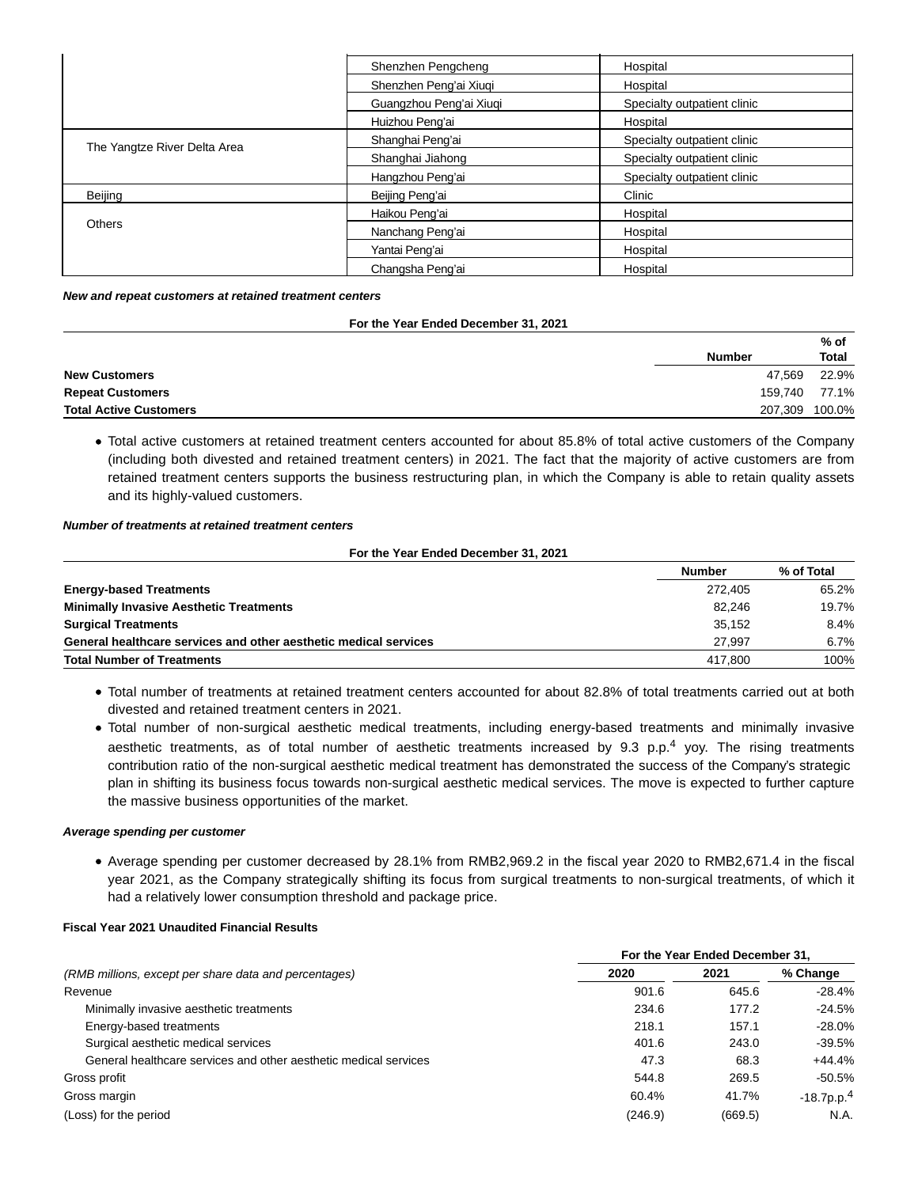|                              | Shenzhen Pengcheng      | Hospital                    |
|------------------------------|-------------------------|-----------------------------|
|                              | Shenzhen Peng'ai Xiugi  | Hospital                    |
|                              | Guangzhou Peng'ai Xiuqi | Specialty outpatient clinic |
|                              | Huizhou Peng'ai         | Hospital                    |
|                              | Shanghai Peng'ai        | Specialty outpatient clinic |
| The Yangtze River Delta Area | Shanghai Jiahong        | Specialty outpatient clinic |
|                              | Hangzhou Peng'ai        | Specialty outpatient clinic |
| Beijing                      | Beijing Peng'ai         | Clinic                      |
|                              | Haikou Peng'ai          | Hospital                    |
| <b>Others</b>                | Nanchang Peng'ai        | Hospital                    |
|                              | Yantai Peng'ai          | Hospital                    |
|                              | Changsha Peng'ai        | Hospital                    |

**New and repeat customers at retained treatment centers**

#### **For the Year Ended December 31, 2021**

|                               |                | % of         |
|-------------------------------|----------------|--------------|
|                               | <b>Number</b>  | <b>Total</b> |
| <b>New Customers</b>          | 47,569         | 22.9%        |
| <b>Repeat Customers</b>       | 159.740        | 77.1%        |
| <b>Total Active Customers</b> | 207,309 100.0% |              |
|                               |                |              |

Total active customers at retained treatment centers accounted for about 85.8% of total active customers of the Company (including both divested and retained treatment centers) in 2021. The fact that the majority of active customers are from retained treatment centers supports the business restructuring plan, in which the Company is able to retain quality assets and its highly-valued customers.

### **Number of treatments at retained treatment centers**

#### **For the Year Ended December 31, 2021**

|                                                                  | <b>Number</b> | % of Total |
|------------------------------------------------------------------|---------------|------------|
| <b>Energy-based Treatments</b>                                   | 272.405       | 65.2%      |
| <b>Minimally Invasive Aesthetic Treatments</b>                   | 82.246        | 19.7%      |
| <b>Surgical Treatments</b>                                       | 35.152        | 8.4%       |
| General healthcare services and other aesthetic medical services | 27.997        | 6.7%       |
| <b>Total Number of Treatments</b>                                | 417.800       | 100%       |

- Total number of treatments at retained treatment centers accounted for about 82.8% of total treatments carried out at both divested and retained treatment centers in 2021.
- Total number of non-surgical aesthetic medical treatments, including energy-based treatments and minimally invasive aesthetic treatments, as of total number of aesthetic treatments increased by 9.3 p.p.<sup>4</sup> yoy. The rising treatments contribution ratio of the non-surgical aesthetic medical treatment has demonstrated the success of the Company's strategic plan in shifting its business focus towards non-surgical aesthetic medical services. The move is expected to further capture the massive business opportunities of the market.

## **Average spending per customer**

Average spending per customer decreased by 28.1% from RMB2,969.2 in the fiscal year 2020 to RMB2,671.4 in the fiscal year 2021, as the Company strategically shifting its focus from surgical treatments to non-surgical treatments, of which it had a relatively lower consumption threshold and package price.

## **Fiscal Year 2021 Unaudited Financial Results**

|                                                                  | For the Year Ended December 31. |         |                           |
|------------------------------------------------------------------|---------------------------------|---------|---------------------------|
| (RMB millions, except per share data and percentages)            | 2020                            | 2021    | % Change                  |
| Revenue                                                          | 901.6                           | 645.6   | $-28.4%$                  |
| Minimally invasive aesthetic treatments                          | 234.6                           | 177.2   | $-24.5%$                  |
| Energy-based treatments                                          | 218.1                           | 157.1   | $-28.0%$                  |
| Surgical aesthetic medical services                              | 401.6                           | 243.0   | $-39.5%$                  |
| General healthcare services and other aesthetic medical services | 47.3                            | 68.3    | $+44.4%$                  |
| Gross profit                                                     | 544.8                           | 269.5   | $-50.5%$                  |
| Gross margin                                                     | 60.4%                           | 41.7%   | $-18.7$ p.p. <sup>4</sup> |
| (Loss) for the period                                            | (246.9)                         | (669.5) | N.A.                      |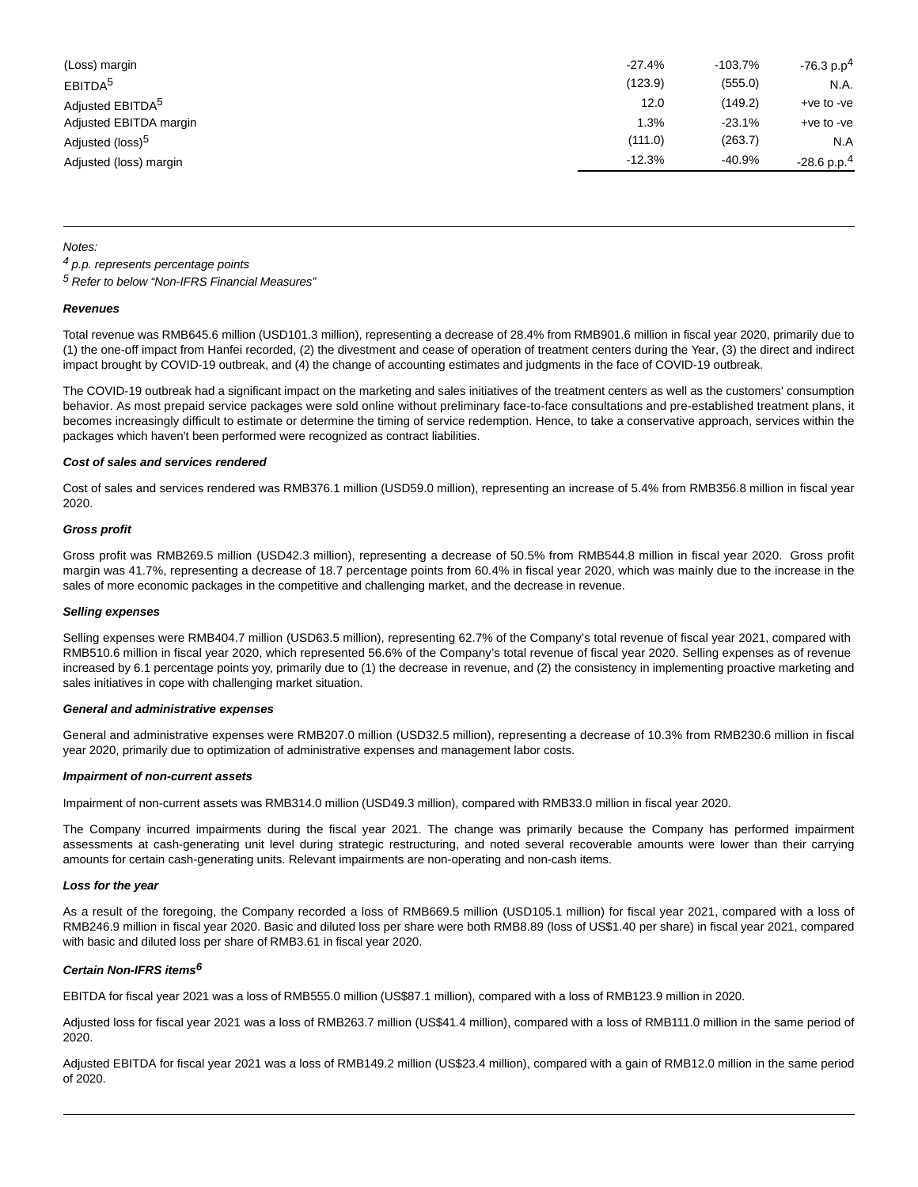| (Loss) margin                | $-27.4%$ | $-103.7%$ | $-76.3 p.p4$              |
|------------------------------|----------|-----------|---------------------------|
| EBITDA <sup>5</sup>          | (123.9)  | (555.0)   | N.A.                      |
| Adjusted EBITDA <sup>5</sup> | 12.0     | (149.2)   | +ve to -ve                |
| Adjusted EBITDA margin       | 1.3%     | $-23.1%$  | $+ve$ to $-ve$            |
| Adjusted (loss) <sup>5</sup> | (111.0)  | (263.7)   | N.A                       |
| Adjusted (loss) margin       | $-12.3%$ | $-40.9%$  | $-28.6$ p.p. <sup>4</sup> |

Notes:

4 p.p. represents percentage points

5 Refer to below "Non-IFRS Financial Measures"

#### **Revenues**

Total revenue was RMB645.6 million (USD101.3 million), representing a decrease of 28.4% from RMB901.6 million in fiscal year 2020, primarily due to (1) the one-off impact from Hanfei recorded, (2) the divestment and cease of operation of treatment centers during the Year, (3) the direct and indirect impact brought by COVID-19 outbreak, and (4) the change of accounting estimates and judgments in the face of COVID-19 outbreak.

The COVID-19 outbreak had a significant impact on the marketing and sales initiatives of the treatment centers as well as the customers' consumption behavior. As most prepaid service packages were sold online without preliminary face-to-face consultations and pre-established treatment plans, it becomes increasingly difficult to estimate or determine the timing of service redemption. Hence, to take a conservative approach, services within the packages which haven't been performed were recognized as contract liabilities.

#### **Cost of sales and services rendered**

Cost of sales and services rendered was RMB376.1 million (USD59.0 million), representing an increase of 5.4% from RMB356.8 million in fiscal year 2020.

#### **Gross profit**

Gross profit was RMB269.5 million (USD42.3 million), representing a decrease of 50.5% from RMB544.8 million in fiscal year 2020. Gross profit margin was 41.7%, representing a decrease of 18.7 percentage points from 60.4% in fiscal year 2020, which was mainly due to the increase in the sales of more economic packages in the competitive and challenging market, and the decrease in revenue.

#### **Selling expenses**

Selling expenses were RMB404.7 million (USD63.5 million), representing 62.7% of the Company's total revenue of fiscal year 2021, compared with RMB510.6 million in fiscal year 2020, which represented 56.6% of the Company's total revenue of fiscal year 2020. Selling expenses as of revenue increased by 6.1 percentage points yoy, primarily due to (1) the decrease in revenue, and (2) the consistency in implementing proactive marketing and sales initiatives in cope with challenging market situation.

#### **General and administrative expenses**

General and administrative expenses were RMB207.0 million (USD32.5 million), representing a decrease of 10.3% from RMB230.6 million in fiscal year 2020, primarily due to optimization of administrative expenses and management labor costs.

#### **Impairment of non-current assets**

Impairment of non-current assets was RMB314.0 million (USD49.3 million), compared with RMB33.0 million in fiscal year 2020.

The Company incurred impairments during the fiscal year 2021. The change was primarily because the Company has performed impairment assessments at cash-generating unit level during strategic restructuring, and noted several recoverable amounts were lower than their carrying amounts for certain cash-generating units. Relevant impairments are non-operating and non-cash items.

#### **Loss for the year**

As a result of the foregoing, the Company recorded a loss of RMB669.5 million (USD105.1 million) for fiscal year 2021, compared with a loss of RMB246.9 million in fiscal year 2020. Basic and diluted loss per share were both RMB8.89 (loss of US\$1.40 per share) in fiscal year 2021, compared with basic and diluted loss per share of RMB3.61 in fiscal year 2020.

### **Certain Non-IFRS items6**

EBITDA for fiscal year 2021 was a loss of RMB555.0 million (US\$87.1 million), compared with a loss of RMB123.9 million in 2020.

Adjusted loss for fiscal year 2021 was a loss of RMB263.7 million (US\$41.4 million), compared with a loss of RMB111.0 million in the same period of 2020.

Adjusted EBITDA for fiscal year 2021 was a loss of RMB149.2 million (US\$23.4 million), compared with a gain of RMB12.0 million in the same period of 2020.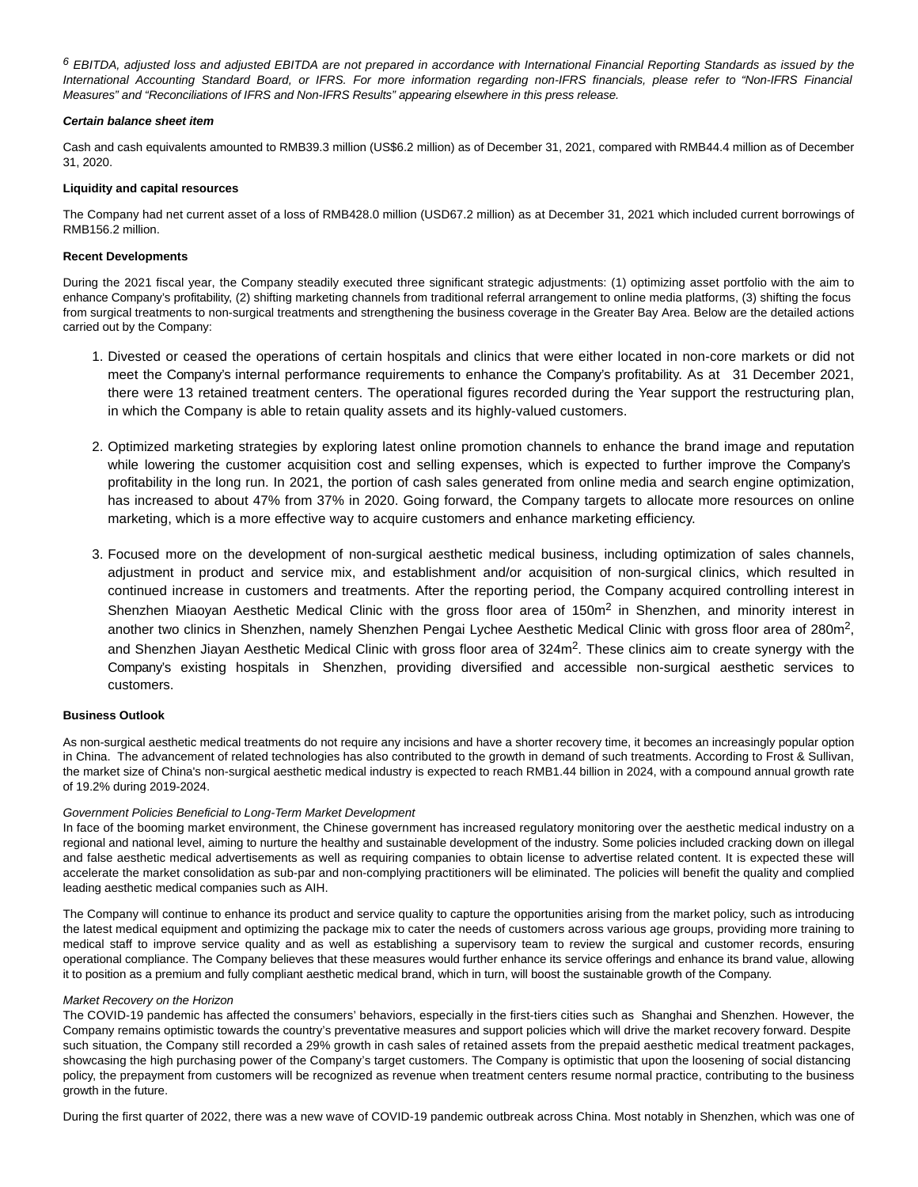$6$  EBITDA, adjusted loss and adjusted EBITDA are not prepared in accordance with International Financial Reporting Standards as issued by the International Accounting Standard Board, or IFRS. For more information regarding non-IFRS financials, please refer to "Non-IFRS Financial Measures" and "Reconciliations of IFRS and Non-IFRS Results" appearing elsewhere in this press release.

#### **Certain balance sheet item**

Cash and cash equivalents amounted to RMB39.3 million (US\$6.2 million) as of December 31, 2021, compared with RMB44.4 million as of December 31, 2020.

#### **Liquidity and capital resources**

The Company had net current asset of a loss of RMB428.0 million (USD67.2 million) as at December 31, 2021 which included current borrowings of RMB156.2 million.

#### **Recent Developments**

During the 2021 fiscal year, the Company steadily executed three significant strategic adjustments: (1) optimizing asset portfolio with the aim to enhance Company's profitability, (2) shifting marketing channels from traditional referral arrangement to online media platforms, (3) shifting the focus from surgical treatments to non-surgical treatments and strengthening the business coverage in the Greater Bay Area. Below are the detailed actions carried out by the Company:

- 1. Divested or ceased the operations of certain hospitals and clinics that were either located in non-core markets or did not meet the Company's internal performance requirements to enhance the Company's profitability. As at 31 December 2021, there were 13 retained treatment centers. The operational figures recorded during the Year support the restructuring plan, in which the Company is able to retain quality assets and its highly-valued customers.
- 2. Optimized marketing strategies by exploring latest online promotion channels to enhance the brand image and reputation while lowering the customer acquisition cost and selling expenses, which is expected to further improve the Company's profitability in the long run. In 2021, the portion of cash sales generated from online media and search engine optimization, has increased to about 47% from 37% in 2020. Going forward, the Company targets to allocate more resources on online marketing, which is a more effective way to acquire customers and enhance marketing efficiency.
- Focused more on the development of non-surgical aesthetic medical business, including optimization of sales channels, 3. adjustment in product and service mix, and establishment and/or acquisition of non-surgical clinics, which resulted in continued increase in customers and treatments. After the reporting period, the Company acquired controlling interest in Shenzhen Miaoyan Aesthetic Medical Clinic with the gross floor area of 150m<sup>2</sup> in Shenzhen, and minority interest in another two clinics in Shenzhen, namely Shenzhen Pengai Lychee Aesthetic Medical Clinic with gross floor area of 280m<sup>2</sup>, and Shenzhen Jiayan Aesthetic Medical Clinic with gross floor area of 324m<sup>2</sup>. These clinics aim to create synergy with the Company's existing hospitals in Shenzhen, providing diversified and accessible non-surgical aesthetic services to customers.

#### **Business Outlook**

As non-surgical aesthetic medical treatments do not require any incisions and have a shorter recovery time, it becomes an increasingly popular option in China. The advancement of related technologies has also contributed to the growth in demand of such treatments. According to Frost & Sullivan, the market size of China's non-surgical aesthetic medical industry is expected to reach RMB1.44 billion in 2024, with a compound annual growth rate of 19.2% during 2019-2024.

#### Government Policies Beneficial to Long-Term Market Development

In face of the booming market environment, the Chinese government has increased regulatory monitoring over the aesthetic medical industry on a regional and national level, aiming to nurture the healthy and sustainable development of the industry. Some policies included cracking down on illegal and false aesthetic medical advertisements as well as requiring companies to obtain license to advertise related content. It is expected these will accelerate the market consolidation as sub-par and non-complying practitioners will be eliminated. The policies will benefit the quality and complied leading aesthetic medical companies such as AIH.

The Company will continue to enhance its product and service quality to capture the opportunities arising from the market policy, such as introducing the latest medical equipment and optimizing the package mix to cater the needs of customers across various age groups, providing more training to medical staff to improve service quality and as well as establishing a supervisory team to review the surgical and customer records, ensuring operational compliance. The Company believes that these measures would further enhance its service offerings and enhance its brand value, allowing it to position as a premium and fully compliant aesthetic medical brand, which in turn, will boost the sustainable growth of the Company.

#### Market Recovery on the Horizon

The COVID-19 pandemic has affected the consumers' behaviors, especially in the first-tiers cities such as Shanghai and Shenzhen. However, the Company remains optimistic towards the country's preventative measures and support policies which will drive the market recovery forward. Despite such situation, the Company still recorded a 29% growth in cash sales of retained assets from the prepaid aesthetic medical treatment packages, showcasing the high purchasing power of the Company's target customers. The Company is optimistic that upon the loosening of social distancing policy, the prepayment from customers will be recognized as revenue when treatment centers resume normal practice, contributing to the business growth in the future.

During the first quarter of 2022, there was a new wave of COVID-19 pandemic outbreak across China. Most notably in Shenzhen, which was one of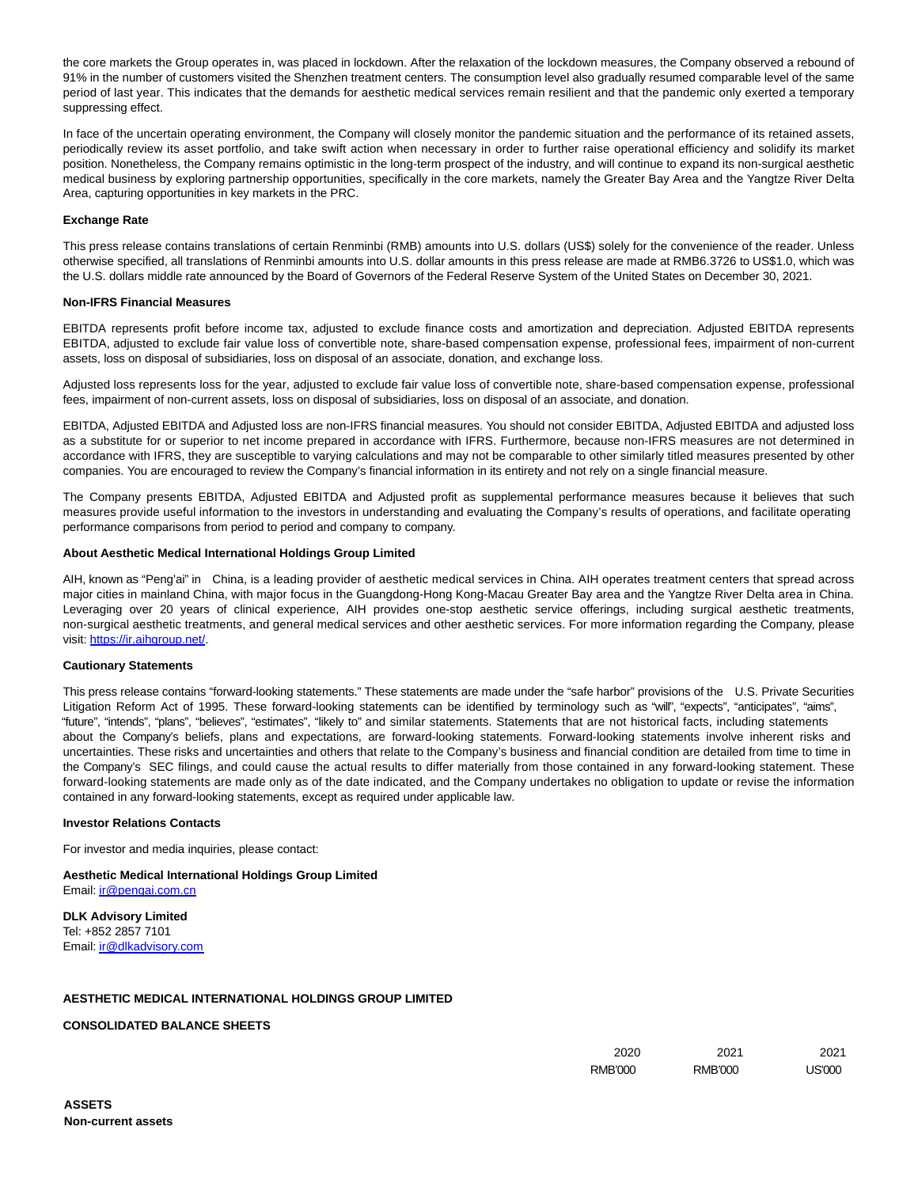the core markets the Group operates in, was placed in lockdown. After the relaxation of the lockdown measures, the Company observed a rebound of 91% in the number of customers visited the Shenzhen treatment centers. The consumption level also gradually resumed comparable level of the same period of last year. This indicates that the demands for aesthetic medical services remain resilient and that the pandemic only exerted a temporary suppressing effect.

In face of the uncertain operating environment, the Company will closely monitor the pandemic situation and the performance of its retained assets, periodically review its asset portfolio, and take swift action when necessary in order to further raise operational efficiency and solidify its market position. Nonetheless, the Company remains optimistic in the long-term prospect of the industry, and will continue to expand its non-surgical aesthetic medical business by exploring partnership opportunities, specifically in the core markets, namely the Greater Bay Area and the Yangtze River Delta Area, capturing opportunities in key markets in the PRC.

### **Exchange Rate**

This press release contains translations of certain Renminbi (RMB) amounts into U.S. dollars (US\$) solely for the convenience of the reader. Unless otherwise specified, all translations of Renminbi amounts into U.S. dollar amounts in this press release are made at RMB6.3726 to US\$1.0, which was the U.S. dollars middle rate announced by the Board of Governors of the Federal Reserve System of the United States on December 30, 2021.

#### **Non-IFRS Financial Measures**

EBITDA represents profit before income tax, adjusted to exclude finance costs and amortization and depreciation. Adjusted EBITDA represents EBITDA, adjusted to exclude fair value loss of convertible note, share-based compensation expense, professional fees, impairment of non-current assets, loss on disposal of subsidiaries, loss on disposal of an associate, donation, and exchange loss.

Adjusted loss represents loss for the year, adjusted to exclude fair value loss of convertible note, share-based compensation expense, professional fees, impairment of non-current assets, loss on disposal of subsidiaries, loss on disposal of an associate, and donation.

EBITDA, Adjusted EBITDA and Adjusted loss are non-IFRS financial measures. You should not consider EBITDA, Adjusted EBITDA and adjusted loss as a substitute for or superior to net income prepared in accordance with IFRS. Furthermore, because non-IFRS measures are not determined in accordance with IFRS, they are susceptible to varying calculations and may not be comparable to other similarly titled measures presented by other companies. You are encouraged to review the Company's financial information in its entirety and not rely on a single financial measure.

The Company presents EBITDA, Adjusted EBITDA and Adjusted profit as supplemental performance measures because it believes that such measures provide useful information to the investors in understanding and evaluating the Company's results of operations, and facilitate operating performance comparisons from period to period and company to company.

#### **About Aesthetic Medical International Holdings Group Limited**

AIH, known as "Peng'ai" in China, is a leading provider of aesthetic medical services in China. AIH operates treatment centers that spread across major cities in mainland China, with major focus in the Guangdong-Hong Kong-Macau Greater Bay area and the Yangtze River Delta area in China. Leveraging over 20 years of clinical experience, AIH provides one-stop aesthetic service offerings, including surgical aesthetic treatments, non-surgical aesthetic treatments, and general medical services and other aesthetic services. For more information regarding the Company, please visit: [https://ir.aihgroup.net/.](https://www.globenewswire.com/Tracker?data=0o21QmZ6nlttTFTWI17RZ-zE8Pu_WU5ZyR8WeJW4QR_5gVVjxG0U-kBfntohjbLbh3MwnyaKAsHP8euSIpiNW3TVhyCRsisHwsKFB_3VsiI=)

#### **Cautionary Statements**

This press release contains "forward-looking statements." These statements are made under the "safe harbor" provisions of the U.S. Private Securities Litigation Reform Act of 1995. These forward-looking statements can be identified by terminology such as "will", "expects", "anticipates", "aims", "future", "intends", "plans", "believes", "estimates", "likely to" and similar statements. Statements that are not historical facts, including statements about the Company's beliefs, plans and expectations, are forward-looking statements. Forward-looking statements involve inherent risks and uncertainties. These risks and uncertainties and others that relate to the Company's business and financial condition are detailed from time to time in the Company's SEC filings, and could cause the actual results to differ materially from those contained in any forward-looking statement. These forward-looking statements are made only as of the date indicated, and the Company undertakes no obligation to update or revise the information contained in any forward-looking statements, except as required under applicable law.

#### **Investor Relations Contacts**

For investor and media inquiries, please contact:

**Aesthetic Medical International Holdings Group Limited** Email[: ir@pengai.com.cn](https://www.globenewswire.com/Tracker?data=LGyPzXHIG_dmUyoRYHNFOhGURr5Lug2Cngj4AJdPlfUYvYnU3qXCC6aP9XE-xcqqd6ul6lHj7cYStEmKh1ixUQ==)

**DLK Advisory Limited** Tel: +852 2857 7101 Email[: ir@dlkadvisory.com](https://www.globenewswire.com/Tracker?data=3TjDi3OY5A9Z1YLZm1pk_m1JgiO_rbHR4pGbnMkxe-1ot1FmBaqnYx7gWchX0Pey71HEKdsmakEzYVOqRUIj8t-02SEFM6DgK401-UFr9DI=)

## **AESTHETIC MEDICAL INTERNATIONAL HOLDINGS GROUP LIMITED**

### **CONSOLIDATED BALANCE SHEETS**

| 2020                | 2021                | 2021            |
|---------------------|---------------------|-----------------|
| <b>RMB'000</b><br>. | <b>RMB'000</b><br>. | חממיםו<br>ມວບບບ |
|                     |                     |                 |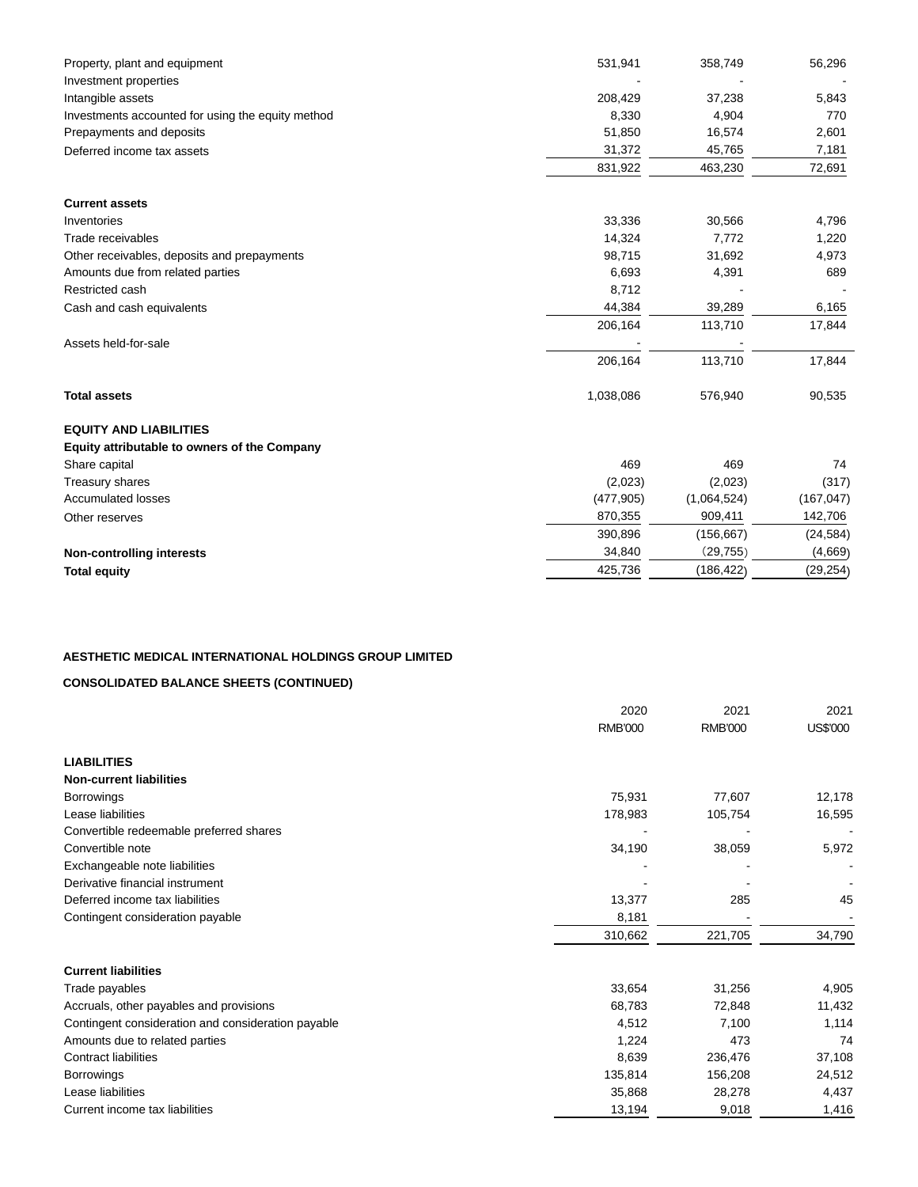| Property, plant and equipment                     | 531,941    | 358,749     | 56,296     |
|---------------------------------------------------|------------|-------------|------------|
| Investment properties                             |            |             |            |
| Intangible assets                                 | 208,429    | 37,238      | 5,843      |
| Investments accounted for using the equity method | 8,330      | 4,904       | 770        |
| Prepayments and deposits                          | 51,850     | 16,574      | 2,601      |
| Deferred income tax assets                        | 31,372     | 45,765      | 7,181      |
|                                                   | 831,922    | 463,230     | 72,691     |
| <b>Current assets</b>                             |            |             |            |
| Inventories                                       | 33,336     | 30,566      | 4,796      |
| Trade receivables                                 | 14,324     | 7,772       | 1,220      |
| Other receivables, deposits and prepayments       | 98,715     | 31,692      | 4,973      |
| Amounts due from related parties                  | 6,693      | 4,391       | 689        |
| Restricted cash                                   | 8,712      |             |            |
| Cash and cash equivalents                         | 44,384     | 39,289      | 6,165      |
|                                                   | 206,164    | 113,710     | 17,844     |
| Assets held-for-sale                              |            |             |            |
|                                                   | 206,164    | 113,710     | 17,844     |
| <b>Total assets</b>                               | 1,038,086  | 576,940     | 90,535     |
| <b>EQUITY AND LIABILITIES</b>                     |            |             |            |
| Equity attributable to owners of the Company      |            |             |            |
| Share capital                                     | 469        | 469         | 74         |
| Treasury shares                                   | (2,023)    | (2,023)     | (317)      |
| <b>Accumulated losses</b>                         | (477, 905) | (1,064,524) | (167, 047) |
| Other reserves                                    | 870,355    | 909,411     | 142,706    |
|                                                   | 390,896    | (156, 667)  | (24, 584)  |
| <b>Non-controlling interests</b>                  | 34,840     | (29, 755)   | (4,669)    |
| <b>Total equity</b>                               | 425,736    | (186, 422)  | (29, 254)  |

## **AESTHETIC MEDICAL INTERNATIONAL HOLDINGS GROUP LIMITED**

## **CONSOLIDATED BALANCE SHEETS (CONTINUED)**

|                                                    | 2020           | 2021           | 2021     |
|----------------------------------------------------|----------------|----------------|----------|
|                                                    | <b>RMB'000</b> | <b>RMB'000</b> | US\$'000 |
| <b>LIABILITIES</b>                                 |                |                |          |
| <b>Non-current liabilities</b>                     |                |                |          |
| <b>Borrowings</b>                                  | 75,931         | 77,607         | 12,178   |
| Lease liabilities                                  | 178,983        | 105,754        | 16,595   |
| Convertible redeemable preferred shares            |                |                |          |
| Convertible note                                   | 34,190         | 38,059         | 5,972    |
| Exchangeable note liabilities                      |                |                |          |
| Derivative financial instrument                    |                |                |          |
| Deferred income tax liabilities                    | 13,377         | 285            | 45       |
| Contingent consideration payable                   | 8,181          |                |          |
|                                                    | 310,662        | 221,705        | 34,790   |
| <b>Current liabilities</b>                         |                |                |          |
| Trade payables                                     | 33,654         | 31,256         | 4,905    |
| Accruals, other payables and provisions            | 68,783         | 72,848         | 11,432   |
| Contingent consideration and consideration payable | 4,512          | 7,100          | 1,114    |
| Amounts due to related parties                     | 1,224          | 473            | 74       |
| <b>Contract liabilities</b>                        | 8,639          | 236,476        | 37,108   |
| <b>Borrowings</b>                                  | 135,814        | 156,208        | 24,512   |
| Lease liabilities                                  | 35,868         | 28,278         | 4,437    |
| Current income tax liabilities                     | 13,194         | 9,018          | 1,416    |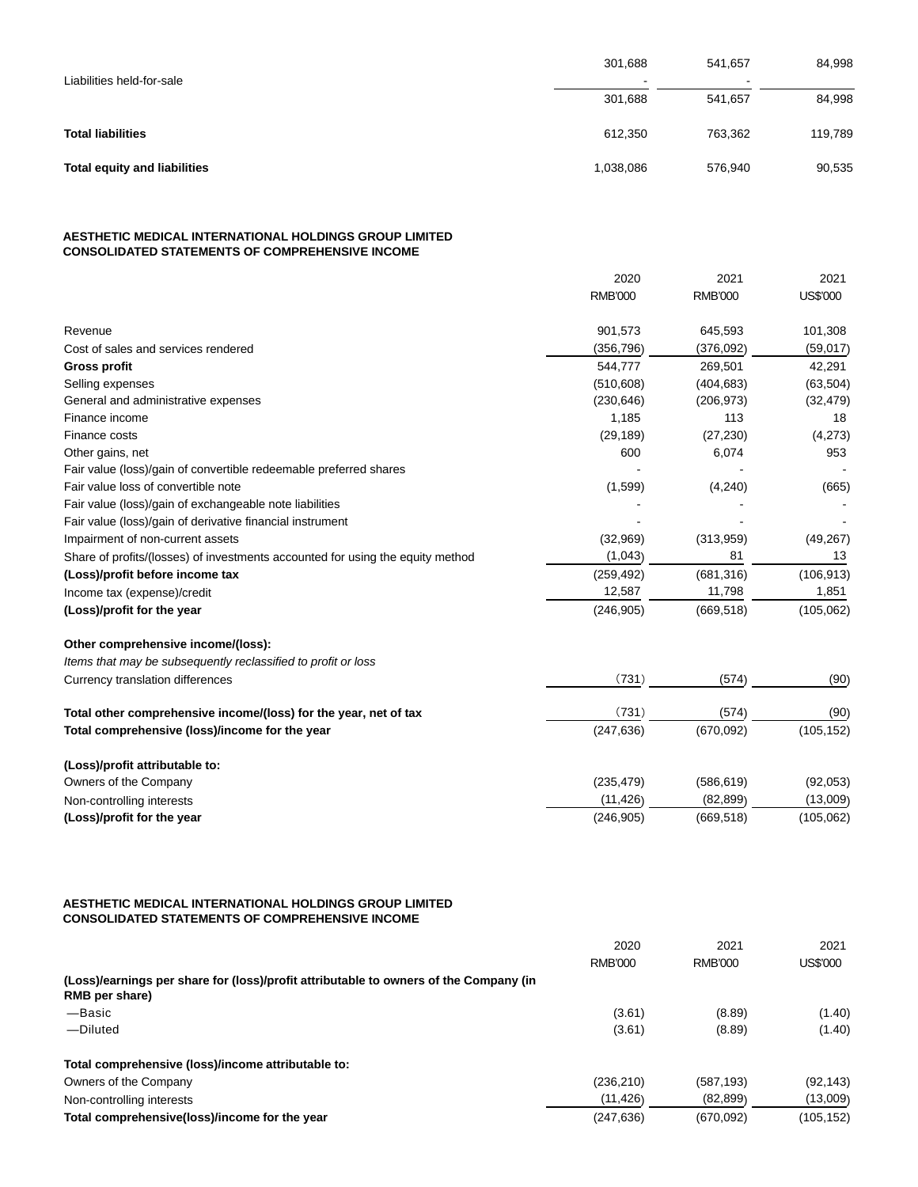| Liabilities held-for-sale           | 301,688   | 541.657<br>$\sim$ | 84,998  |
|-------------------------------------|-----------|-------------------|---------|
|                                     | 301,688   | 541,657           | 84,998  |
| <b>Total liabilities</b>            | 612,350   | 763.362           | 119,789 |
| <b>Total equity and liabilities</b> | 1,038,086 | 576,940           | 90,535  |

## **AESTHETIC MEDICAL INTERNATIONAL HOLDINGS GROUP LIMITED CONSOLIDATED STATEMENTS OF COMPREHENSIVE INCOME**

|                                                                                | 2020           | 2021           | 2021       |
|--------------------------------------------------------------------------------|----------------|----------------|------------|
|                                                                                | <b>RMB'000</b> | <b>RMB'000</b> | US\$'000   |
| Revenue                                                                        | 901,573        | 645,593        | 101,308    |
| Cost of sales and services rendered                                            | (356, 796)     | (376,092)      | (59,017)   |
| <b>Gross profit</b>                                                            | 544,777        | 269,501        | 42,291     |
| Selling expenses                                                               | (510, 608)     | (404, 683)     | (63, 504)  |
| General and administrative expenses                                            | (230, 646)     | (206, 973)     | (32, 479)  |
| Finance income                                                                 | 1,185          | 113            | 18         |
| Finance costs                                                                  | (29, 189)      | (27, 230)      | (4,273)    |
| Other gains, net                                                               | 600            | 6,074          | 953        |
| Fair value (loss)/gain of convertible redeemable preferred shares              |                |                |            |
| Fair value loss of convertible note                                            | (1,599)        | (4,240)        | (665)      |
| Fair value (loss)/gain of exchangeable note liabilities                        |                |                |            |
| Fair value (loss)/gain of derivative financial instrument                      |                |                |            |
| Impairment of non-current assets                                               | (32,969)       | (313,959)      | (49, 267)  |
| Share of profits/(losses) of investments accounted for using the equity method | (1,043)        | 81             | 13         |
| (Loss)/profit before income tax                                                | (259, 492)     | (681, 316)     | (106, 913) |
| Income tax (expense)/credit                                                    | 12,587         | 11,798         | 1,851      |
| (Loss)/profit for the year                                                     | (246, 905)     | (669, 518)     | (105, 062) |
| Other comprehensive income/(loss):                                             |                |                |            |
| Items that may be subsequently reclassified to profit or loss                  |                |                |            |
| Currency translation differences                                               | (731)          | (574)          | (90)       |
| Total other comprehensive income/(loss) for the year, net of tax               | (731)          | (574)          | (90)       |
| Total comprehensive (loss)/income for the year                                 | (247, 636)     | (670,092)      | (105, 152) |
| (Loss)/profit attributable to:                                                 |                |                |            |
| Owners of the Company                                                          | (235, 479)     | (586, 619)     | (92,053)   |
| Non-controlling interests                                                      | (11, 426)      | (82, 899)      | (13,009)   |
| (Loss)/profit for the year                                                     | (246, 905)     | (669, 518)     | (105, 062) |

#### **AESTHETIC MEDICAL INTERNATIONAL HOLDINGS GROUP LIMITED CONSOLIDATED STATEMENTS OF COMPREHENSIVE INCOME**

|                                                                                                         | 2020<br>RMB'000 | 2021<br>RMB'000 | 2021<br>US\$'000 |
|---------------------------------------------------------------------------------------------------------|-----------------|-----------------|------------------|
| (Loss)/earnings per share for (loss)/profit attributable to owners of the Company (in<br>RMB per share) |                 |                 |                  |
| -Basic                                                                                                  | (3.61)          | (8.89)          | (1.40)           |
| -Diluted                                                                                                | (3.61)          | (8.89)          | (1.40)           |
| Total comprehensive (loss)/income attributable to:                                                      |                 |                 |                  |
| Owners of the Company                                                                                   | (236, 210)      | (587, 193)      | (92, 143)        |
| Non-controlling interests                                                                               | (11, 426)       | (82, 899)       | (13,009)         |
| Total comprehensive(loss)/income for the year                                                           | (247, 636)      | (670,092)       | (105,152)        |